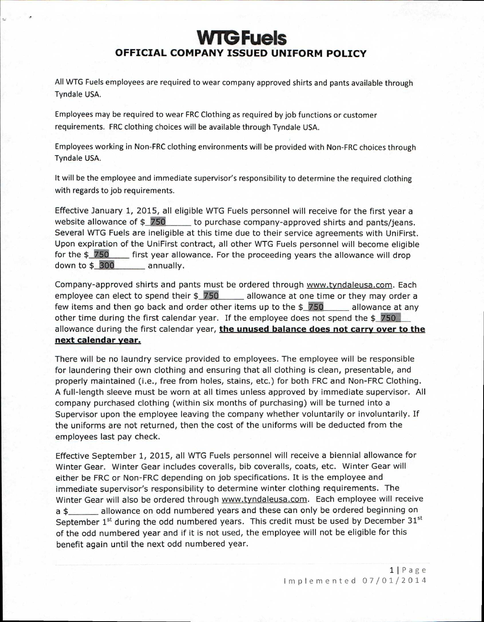## **WTG Fuels OFFICIAL COMPANY ISSUED UNIFORM POLICY**

All WTG Fuels employees are required to wear company approved shirts and pants available through Tyndale USA.

Employees may be required to wear FRC Clothing as required by job functions or customer requirements. FRC clothing choices will be available through Tyndale USA.

Employees working in Non-FRC clothing environments will be provided with Non-FRC choices through Tyndale USA.

It will be the employee and immediate supervisor's responsibility to determine the required clothing with regards to job requirements.

Effective January 1, 2015, all eligible WTG Fuels personnel will receive for the first year a website allowance of  $\frac{250}{100}$  to purchase company-approved shirts and pants/jeans. Several WTG Fuels are ineligible at this time due to their service agreements with UniFirst. Upon expiration of the UniFirst contract, all other WTG Fuels personnel will become eligible for the  $$750$  first year allowance. For the proceeding years the allowance will drop down to \$**300** annually.

Company-approved shirts and pants must be ordered through www.tyndaleusa.com . Each employee can elect to spend their  $$750$  allowance at one time or they may order a few items and then go back and order other items up to the  $$750$  allowance at any other time during the first calendar year. If the employee does not spend the  $$1750$ allowance during the first calendar year, **the unused balance does not carry over to the next calendar year.** 

There will be no laundry service provided to employees. The employee will be responsible for laundering their own clothing and ensuring that all clothing is clean, presentable, and properly maintained (i.e., free from holes, stains, etc.) for both FRC and Non-FRC Clothing. A full-length sleeve must be worn at all times unless approved by immediate supervisor. All company purchased clothing (within six months of purchasing) will be turned into a Supervisor upon the employee leaving the company whether voluntarily or involuntarily. If the uniforms are not returned, then the cost of the uniforms will be deducted from the employees last pay check.

Effective September 1, 2015, all WTG Fuels personnel will receive a biennial allowance for Winter Gear. Winter Gear includes coveralls, bib coveralls, coats, etc. Winter Gear will either be FRC or Non-FRC depending on job specifications. It is the employee and immediate supervisor's responsibility to determine winter clothing requirements. The Winter Gear will also be ordered through www.tyndaleusa.com. Each employee will receive a \$\_\_\_\_\_\_ allowance on odd numbered years and these can only be ordered beginning on September  $1<sup>st</sup>$  during the odd numbered years. This credit must be used by December  $31<sup>st</sup>$ of the odd numbered year and if it is not used, the employee will not be eligible for this benefit again until the next odd numbered year.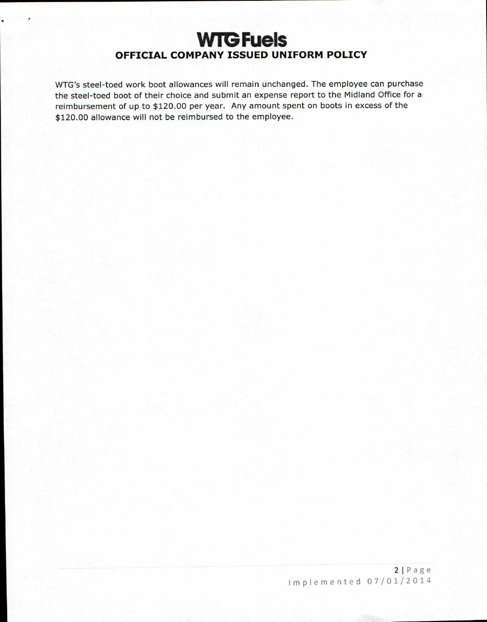# **WIG Fuels OFFICIAL COMPANY ISSUED UNIFORM POLICY**

WTG's steel-toed work boot allowances will remain unchanged. The employee can purchase the steel-toed boot of their choice and submit an expense report to the Midland Office for a reimbursement of up to \$120.00 per year. Any amount spent on boots in excess of the \$120.00 allowance will not be reimbursed to the employee.